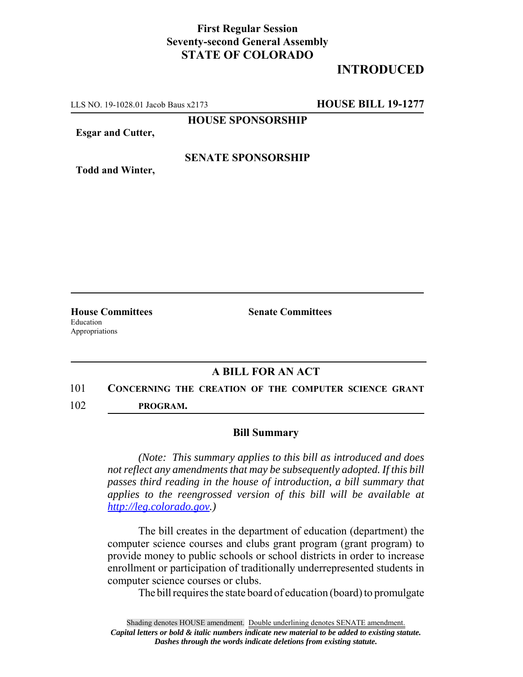## **First Regular Session Seventy-second General Assembly STATE OF COLORADO**

# **INTRODUCED**

LLS NO. 19-1028.01 Jacob Baus x2173 **HOUSE BILL 19-1277**

**HOUSE SPONSORSHIP**

**Esgar and Cutter,**

#### **SENATE SPONSORSHIP**

**Todd and Winter,**

Education Appropriations

**House Committees Senate Committees** 

### **A BILL FOR AN ACT**

## 101 **CONCERNING THE CREATION OF THE COMPUTER SCIENCE GRANT**

102 **PROGRAM.**

#### **Bill Summary**

*(Note: This summary applies to this bill as introduced and does not reflect any amendments that may be subsequently adopted. If this bill passes third reading in the house of introduction, a bill summary that applies to the reengrossed version of this bill will be available at http://leg.colorado.gov.)*

The bill creates in the department of education (department) the computer science courses and clubs grant program (grant program) to provide money to public schools or school districts in order to increase enrollment or participation of traditionally underrepresented students in computer science courses or clubs.

The bill requires the state board of education (board) to promulgate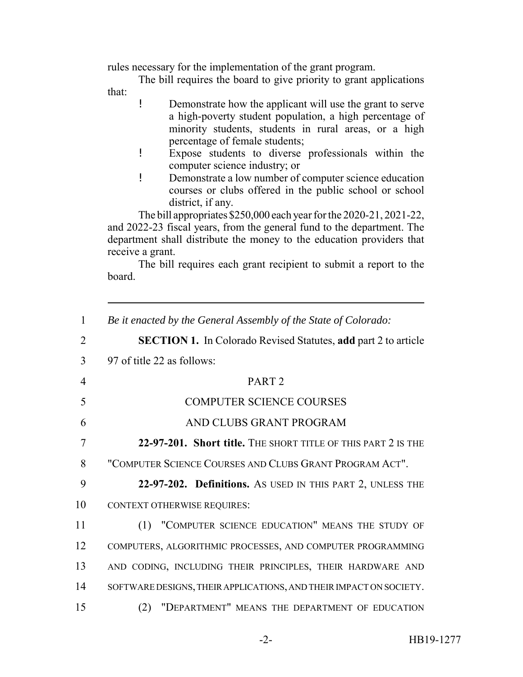rules necessary for the implementation of the grant program.

The bill requires the board to give priority to grant applications that:

- ! Demonstrate how the applicant will use the grant to serve a high-poverty student population, a high percentage of minority students, students in rural areas, or a high percentage of female students;
- ! Expose students to diverse professionals within the computer science industry; or
- ! Demonstrate a low number of computer science education courses or clubs offered in the public school or school district, if any.

The bill appropriates \$250,000 each year for the 2020-21, 2021-22, and 2022-23 fiscal years, from the general fund to the department. The department shall distribute the money to the education providers that receive a grant.

The bill requires each grant recipient to submit a report to the board.

| 1              | Be it enacted by the General Assembly of the State of Colorado:       |
|----------------|-----------------------------------------------------------------------|
| $\overline{2}$ | <b>SECTION 1.</b> In Colorado Revised Statutes, add part 2 to article |
| 3              | 97 of title 22 as follows:                                            |
| $\overline{4}$ | PART <sub>2</sub>                                                     |
| 5              | <b>COMPUTER SCIENCE COURSES</b>                                       |
| 6              | AND CLUBS GRANT PROGRAM                                               |
| 7              | 22-97-201. Short title. THE SHORT TITLE OF THIS PART 2 IS THE         |
| 8              | "COMPUTER SCIENCE COURSES AND CLUBS GRANT PROGRAM ACT".               |
| 9              | 22-97-202. Definitions. As USED IN THIS PART 2, UNLESS THE            |
| 10             | CONTEXT OTHERWISE REQUIRES:                                           |
| 11             | "COMPUTER SCIENCE EDUCATION" MEANS THE STUDY OF<br>(1)                |
| 12             | COMPUTERS, ALGORITHMIC PROCESSES, AND COMPUTER PROGRAMMING            |
| 13             | AND CODING, INCLUDING THEIR PRINCIPLES, THEIR HARDWARE AND            |
| 14             | SOFTWARE DESIGNS, THEIR APPLICATIONS, AND THEIR IMPACT ON SOCIETY.    |
| 15             | "DEPARTMENT" MEANS THE DEPARTMENT OF EDUCATION<br>(2)                 |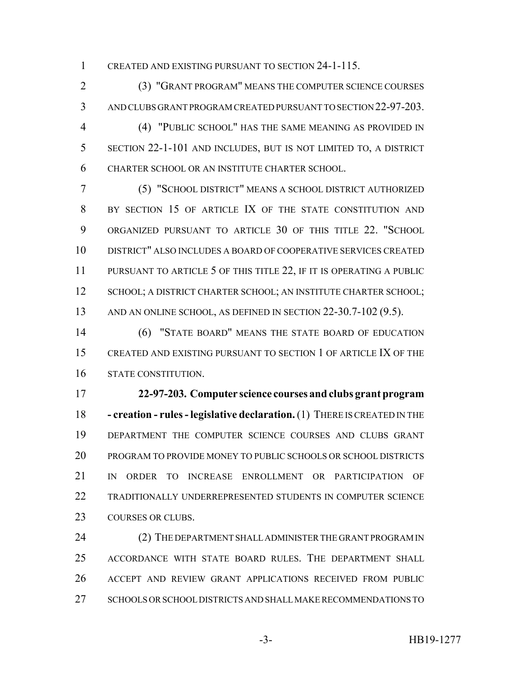CREATED AND EXISTING PURSUANT TO SECTION 24-1-115.

 (3) "GRANT PROGRAM" MEANS THE COMPUTER SCIENCE COURSES AND CLUBS GRANT PROGRAM CREATED PURSUANT TO SECTION 22-97-203.

 (4) "PUBLIC SCHOOL" HAS THE SAME MEANING AS PROVIDED IN SECTION 22-1-101 AND INCLUDES, BUT IS NOT LIMITED TO, A DISTRICT CHARTER SCHOOL OR AN INSTITUTE CHARTER SCHOOL.

 (5) "SCHOOL DISTRICT" MEANS A SCHOOL DISTRICT AUTHORIZED BY SECTION 15 OF ARTICLE IX OF THE STATE CONSTITUTION AND ORGANIZED PURSUANT TO ARTICLE 30 OF THIS TITLE 22. "SCHOOL DISTRICT" ALSO INCLUDES A BOARD OF COOPERATIVE SERVICES CREATED 11 PURSUANT TO ARTICLE 5 OF THIS TITLE 22, IF IT IS OPERATING A PUBLIC 12 SCHOOL; A DISTRICT CHARTER SCHOOL; AN INSTITUTE CHARTER SCHOOL; AND AN ONLINE SCHOOL, AS DEFINED IN SECTION 22-30.7-102 (9.5).

 (6) "STATE BOARD" MEANS THE STATE BOARD OF EDUCATION CREATED AND EXISTING PURSUANT TO SECTION 1 OF ARTICLE IX OF THE STATE CONSTITUTION.

 **22-97-203. Computer science courses and clubs grant program - creation - rules - legislative declaration.** (1) THERE IS CREATED IN THE DEPARTMENT THE COMPUTER SCIENCE COURSES AND CLUBS GRANT PROGRAM TO PROVIDE MONEY TO PUBLIC SCHOOLS OR SCHOOL DISTRICTS IN ORDER TO INCREASE ENROLLMENT OR PARTICIPATION OF TRADITIONALLY UNDERREPRESENTED STUDENTS IN COMPUTER SCIENCE 23 COURSES OR CLUBS.

24 (2) THE DEPARTMENT SHALL ADMINISTER THE GRANT PROGRAM IN ACCORDANCE WITH STATE BOARD RULES. THE DEPARTMENT SHALL ACCEPT AND REVIEW GRANT APPLICATIONS RECEIVED FROM PUBLIC SCHOOLS OR SCHOOL DISTRICTS AND SHALL MAKE RECOMMENDATIONS TO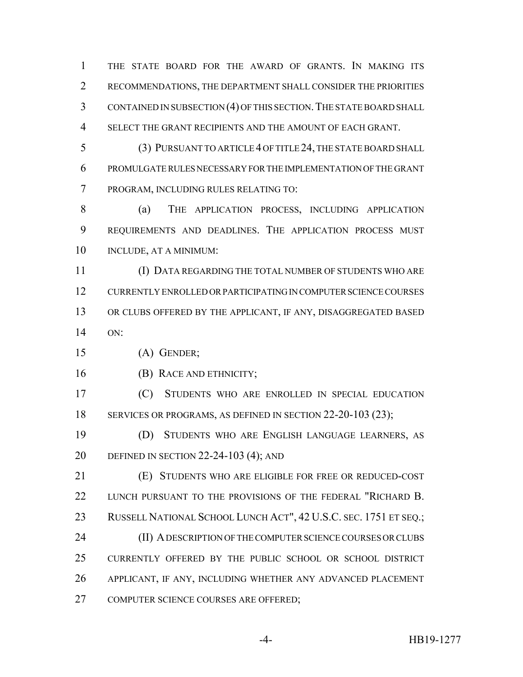THE STATE BOARD FOR THE AWARD OF GRANTS. IN MAKING ITS RECOMMENDATIONS, THE DEPARTMENT SHALL CONSIDER THE PRIORITIES CONTAINED IN SUBSECTION (4) OF THIS SECTION.THE STATE BOARD SHALL SELECT THE GRANT RECIPIENTS AND THE AMOUNT OF EACH GRANT.

 (3) PURSUANT TO ARTICLE 4 OF TITLE 24, THE STATE BOARD SHALL PROMULGATE RULES NECESSARY FOR THE IMPLEMENTATION OF THE GRANT PROGRAM, INCLUDING RULES RELATING TO:

8 (a) THE APPLICATION PROCESS, INCLUDING APPLICATION REQUIREMENTS AND DEADLINES. THE APPLICATION PROCESS MUST INCLUDE, AT A MINIMUM:

 (I) DATA REGARDING THE TOTAL NUMBER OF STUDENTS WHO ARE CURRENTLY ENROLLED OR PARTICIPATING IN COMPUTER SCIENCE COURSES OR CLUBS OFFERED BY THE APPLICANT, IF ANY, DISAGGREGATED BASED ON:

(A) GENDER;

(B) RACE AND ETHNICITY;

 (C) STUDENTS WHO ARE ENROLLED IN SPECIAL EDUCATION 18 SERVICES OR PROGRAMS, AS DEFINED IN SECTION 22-20-103 (23);

 (D) STUDENTS WHO ARE ENGLISH LANGUAGE LEARNERS, AS DEFINED IN SECTION 22-24-103 (4); AND

 (E) STUDENTS WHO ARE ELIGIBLE FOR FREE OR REDUCED-COST 22 LUNCH PURSUANT TO THE PROVISIONS OF THE FEDERAL "RICHARD B. RUSSELL NATIONAL SCHOOL LUNCH ACT", 42 U.S.C. SEC. 1751 ET SEQ.; 24 (II) A DESCRIPTION OF THE COMPUTER SCIENCE COURSES OR CLUBS CURRENTLY OFFERED BY THE PUBLIC SCHOOL OR SCHOOL DISTRICT APPLICANT, IF ANY, INCLUDING WHETHER ANY ADVANCED PLACEMENT COMPUTER SCIENCE COURSES ARE OFFERED;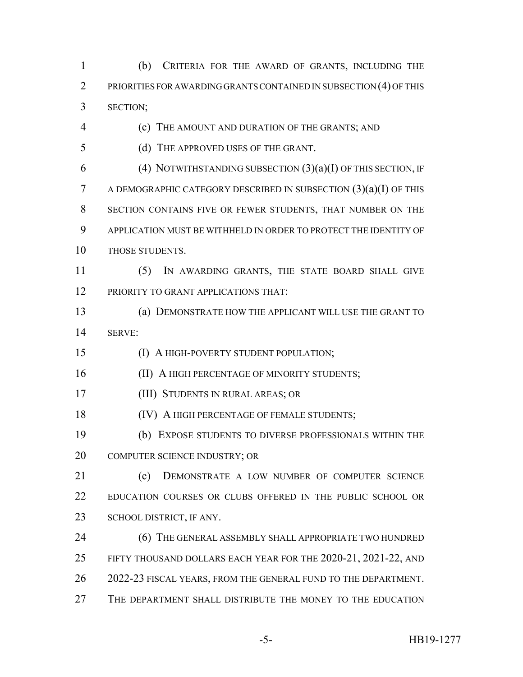(b) CRITERIA FOR THE AWARD OF GRANTS, INCLUDING THE PRIORITIES FOR AWARDING GRANTS CONTAINED IN SUBSECTION (4) OF THIS SECTION;

- (c) THE AMOUNT AND DURATION OF THE GRANTS; AND
- (d) THE APPROVED USES OF THE GRANT.
- 6 (4) NOTWITHSTANDING SUBSECTION  $(3)(a)(I)$  OF THIS SECTION, IF A DEMOGRAPHIC CATEGORY DESCRIBED IN SUBSECTION (3)(a)(I) OF THIS SECTION CONTAINS FIVE OR FEWER STUDENTS, THAT NUMBER ON THE APPLICATION MUST BE WITHHELD IN ORDER TO PROTECT THE IDENTITY OF 10 THOSE STUDENTS.
- (5) IN AWARDING GRANTS, THE STATE BOARD SHALL GIVE 12 PRIORITY TO GRANT APPLICATIONS THAT:
- (a) DEMONSTRATE HOW THE APPLICANT WILL USE THE GRANT TO SERVE:
- (I) A HIGH-POVERTY STUDENT POPULATION;
- 16 (II) A HIGH PERCENTAGE OF MINORITY STUDENTS;
- (III) STUDENTS IN RURAL AREAS; OR
- **(IV) A HIGH PERCENTAGE OF FEMALE STUDENTS;**
- (b) EXPOSE STUDENTS TO DIVERSE PROFESSIONALS WITHIN THE COMPUTER SCIENCE INDUSTRY; OR
- (c) DEMONSTRATE A LOW NUMBER OF COMPUTER SCIENCE EDUCATION COURSES OR CLUBS OFFERED IN THE PUBLIC SCHOOL OR SCHOOL DISTRICT, IF ANY.
- 24 (6) THE GENERAL ASSEMBLY SHALL APPROPRIATE TWO HUNDRED FIFTY THOUSAND DOLLARS EACH YEAR FOR THE 2020-21, 2021-22, AND 2022-23 FISCAL YEARS, FROM THE GENERAL FUND TO THE DEPARTMENT.
- THE DEPARTMENT SHALL DISTRIBUTE THE MONEY TO THE EDUCATION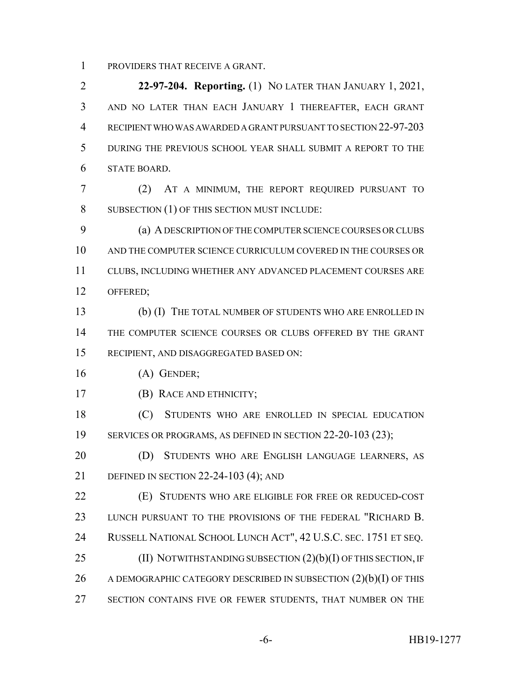PROVIDERS THAT RECEIVE A GRANT.

 **22-97-204. Reporting.** (1) NO LATER THAN JANUARY 1, 2021, AND NO LATER THAN EACH JANUARY 1 THEREAFTER, EACH GRANT RECIPIENT WHO WAS AWARDED A GRANT PURSUANT TO SECTION 22-97-203 DURING THE PREVIOUS SCHOOL YEAR SHALL SUBMIT A REPORT TO THE STATE BOARD.

 (2) AT A MINIMUM, THE REPORT REQUIRED PURSUANT TO SUBSECTION (1) OF THIS SECTION MUST INCLUDE:

 (a) A DESCRIPTION OF THE COMPUTER SCIENCE COURSES OR CLUBS AND THE COMPUTER SCIENCE CURRICULUM COVERED IN THE COURSES OR CLUBS, INCLUDING WHETHER ANY ADVANCED PLACEMENT COURSES ARE OFFERED;

 (b) (I) THE TOTAL NUMBER OF STUDENTS WHO ARE ENROLLED IN THE COMPUTER SCIENCE COURSES OR CLUBS OFFERED BY THE GRANT RECIPIENT, AND DISAGGREGATED BASED ON:

- (A) GENDER;
- (B) RACE AND ETHNICITY;

 (C) STUDENTS WHO ARE ENROLLED IN SPECIAL EDUCATION 19 SERVICES OR PROGRAMS, AS DEFINED IN SECTION 22-20-103 (23);

**(D) STUDENTS WHO ARE ENGLISH LANGUAGE LEARNERS, AS** DEFINED IN SECTION 22-24-103 (4); AND

 (E) STUDENTS WHO ARE ELIGIBLE FOR FREE OR REDUCED-COST 23 LUNCH PURSUANT TO THE PROVISIONS OF THE FEDERAL "RICHARD B. RUSSELL NATIONAL SCHOOL LUNCH ACT", 42 U.S.C. SEC. 1751 ET SEQ. 25 (II) NOTWITHSTANDING SUBSECTION  $(2)(b)(I)$  OF THIS SECTION, IF 26 A DEMOGRAPHIC CATEGORY DESCRIBED IN SUBSECTION (2)(b)(I) OF THIS

27 SECTION CONTAINS FIVE OR FEWER STUDENTS, THAT NUMBER ON THE